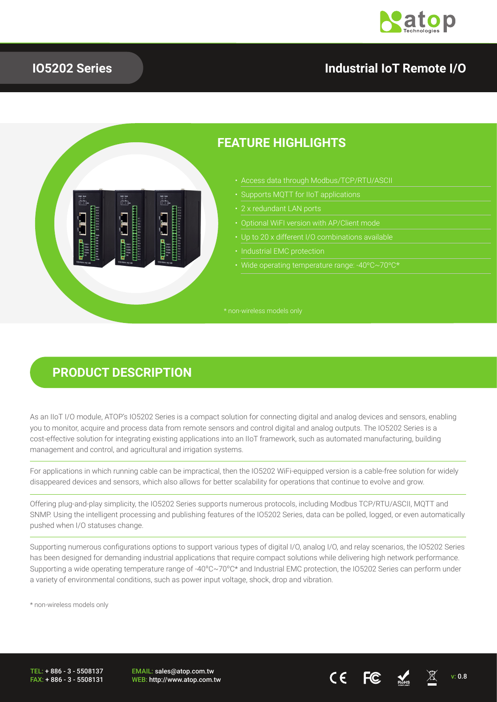

#### **IO5202 Series**

#### **Industrial IoT Remote I/O**



#### **FEATURE HIGHLIGHTS**

- Access data through Modbus/TCP/RTU/ASCII
- 
- 
- 
- 
- 
- Wide operating temperature range: -40ºC~70ºC\*

#### **PRODUCT DESCRIPTION**

As an IIoT I/O module, ATOP's IO5202 Series is a compact solution for connecting digital and analog devices and sensors, enabling you to monitor, acquire and process data from remote sensors and control digital and analog outputs. The IO5202 Series is a cost-effective solution for integrating existing applications into an IIoT framework, such as automated manufacturing, building management and control, and agricultural and irrigation systems.

For applications in which running cable can be impractical, then the IO5202 WiFi-equipped version is a cable-free solution for widely disappeared devices and sensors, which also allows for better scalability for operations that continue to evolve and grow.

Offering plug-and-play simplicity, the IO5202 Series supports numerous protocols, including Modbus TCP/RTU/ASCII, MQTT and SNMP. Using the intelligent processing and publishing features of the IO5202 Series, data can be polled, logged, or even automatically pushed when I/O statuses change.

Supporting numerous configurations options to support various types of digital I/O, analog I/O, and relay scenarios, the IO5202 Series has been designed for demanding industrial applications that require compact solutions while delivering high network performance. Supporting a wide operating temperature range of -40ºC~70ºC\* and Industrial EMC protection, the IO5202 Series can perform under a variety of environmental conditions, such as power input voltage, shock, drop and vibration.

\* non-wireless models only

TEL: + 886 - 3 - 5508137 FAX: + 886 - 3 - 5508131 EMAIL: sales@atop.com.tw

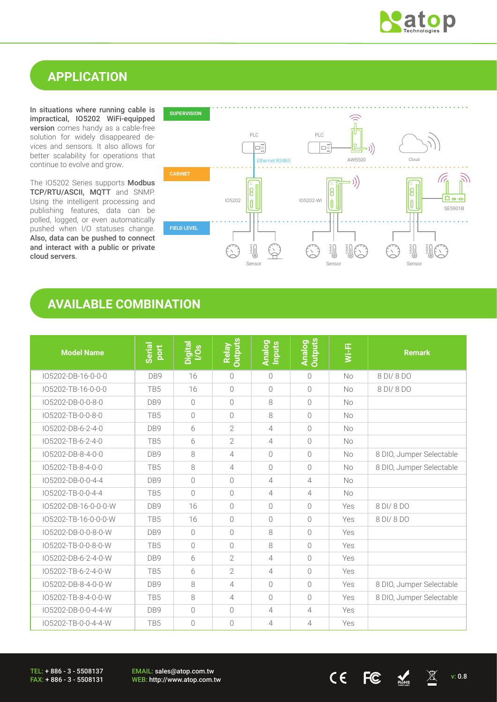

## **APPLICATION**

In situations where running cable is impractical, IO5202 WiFi-equipped version comes handy as a cable-free solution for widely disappeared devices and sensors. It also allows for better scalability for operations that continue to evolve and grow.

The IO5202 Series supports Modbus TCP/RTU/ASCII, MQTT and SNMP. Using the intelligent processing and publishing features, data can be polled, logged, or even automatically pushed when I/O statuses change. Also, data can be pushed to connect and interact with a public or private cloud servers.



## **AVAILABLE COMBINATION**

| <b>Model Name</b>    | Serial<br>port  | Digital<br>I/Os | <b>Outputs</b><br>Relay | Analog<br>Inputs | <b>Outputs</b><br><b>Analog</b> | Wi-Fi     | <b>Remark</b>            |
|----------------------|-----------------|-----------------|-------------------------|------------------|---------------------------------|-----------|--------------------------|
| IO5202-DB-16-0-0-0   | DB9             | 16              | $\bigcirc$              | $\bigcirc$       | $\bigcirc$                      | No        | 8 DI/8 DO                |
| IO5202-TB-16-0-0-0   | TB5             | 16              | $\overline{0}$          | $\bigcirc$       | $\bigcirc$                      | <b>No</b> | 8 DI/8 DO                |
| IO5202-DB-0-0-8-0    | DB <sub>9</sub> | $\bigcap$       | $\bigcirc$              | 8                | $\bigcirc$                      | <b>No</b> |                          |
| IO5202-TB-0-0-8-0    | TB <sub>5</sub> | $\bigcirc$      | $\bigcirc$              | 8                | $\bigcirc$                      | <b>No</b> |                          |
| IO5202-DB-6-2-4-0    | DB9             | 6               | $\overline{2}$          | $\overline{4}$   | $\bigcirc$                      | <b>No</b> |                          |
| IO5202-TB-6-2-4-0    | TB <sub>5</sub> | 6               | $\overline{2}$          | $\overline{4}$   | $\bigcirc$                      | <b>No</b> |                          |
| IO5202-DB-8-4-0-0    | DB9             | 8               | 4                       | $\bigcirc$       | $\bigcirc$                      | <b>No</b> | 8 DIO, Jumper Selectable |
| IO5202-TB-8-4-0-0    | TB <sub>5</sub> | 8               | 4                       | $\bigcirc$       | $\bigcirc$                      | No        | 8 DIO, Jumper Selectable |
| IO5202-DB-0-0-4-4    | DB9             | $\bigcap$       | $\bigcirc$              | $\overline{4}$   | $\overline{4}$                  | <b>No</b> |                          |
| IO5202-TB-0-0-4-4    | TB <sub>5</sub> | $\bigcirc$      | $\bigcirc$              | $\overline{4}$   | $\overline{4}$                  | <b>No</b> |                          |
| IO5202-DB-16-0-0-0-W | DB <sub>9</sub> | 16              | $\bigcirc$              | $\bigcap$        | $\Omega$                        | Yes       | 8 DI/ 8 DO               |
| IO5202-TB-16-0-0-0-W | TB5             | 16              | $\bigcap$               | $\bigcap$        | $\bigcap$                       | Yes       | 8 DI/ 8 DO               |
| IO5202-DB-0-0-8-0-W  | DB9             | $\overline{0}$  | $\bigcirc$              | 8                | $\bigcap$                       | Yes       |                          |
| IO5202-TB-0-0-8-0-W  | TB5             | $\bigcap$       | $\bigcirc$              | 8                | $\bigcirc$                      | Yes       |                          |
| IO5202-DB-6-2-4-0-W  | DB <sub>9</sub> | 6               | $\overline{2}$          | 4                | $\bigcirc$                      | Yes       |                          |
| IO5202-TB-6-2-4-0-W  | TB <sub>5</sub> | 6               | $\overline{2}$          | $\overline{4}$   | $\bigcirc$                      | Yes       |                          |
| IO5202-DB-8-4-0-0-W  | DB <sub>9</sub> | 8               | 4                       | $\bigcap$        | $\bigcirc$                      | Yes       | 8 DIO, Jumper Selectable |
| IO5202-TB-8-4-0-0-W  | TB <sub>5</sub> | 8               | $\overline{4}$          | $\bigcap$        | $\bigcap$                       | Yes       | 8 DIO, Jumper Selectable |
| IO5202-DB-0-0-4-4-W  | DB9             | $\bigcap$       | $\bigcirc$              | $\overline{4}$   | 4                               | Yes       |                          |
| IO5202-TB-0-0-4-4-W  | TB5             | $\bigcap$       | $\bigcirc$              | $\overline{4}$   | 4                               | Yes       |                          |

TEL: + 886 - 3 - 5508137 FAX: + 886 - 3 - 5508131 EMAIL: sales@atop.com.tw

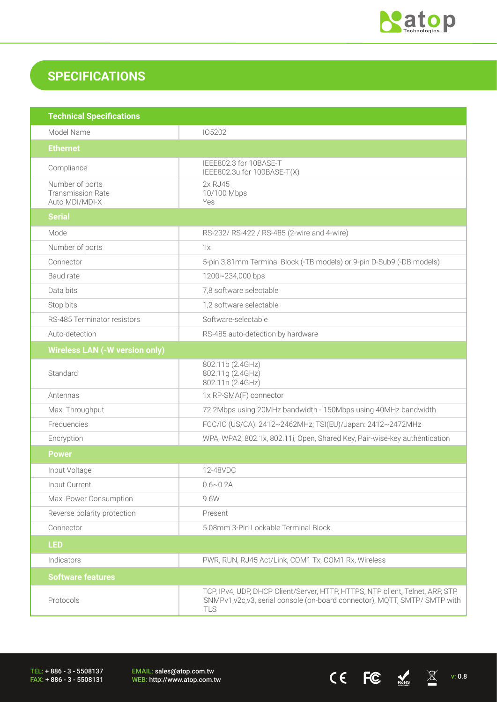

# **SPECIFICATIONS**

| <b>Technical Specifications</b>                               |                                                                                                                                                                             |
|---------------------------------------------------------------|-----------------------------------------------------------------------------------------------------------------------------------------------------------------------------|
| Model Name                                                    | 105202                                                                                                                                                                      |
| <b>Ethernet</b>                                               |                                                                                                                                                                             |
| Compliance                                                    | IEEE802.3 for 10BASE-T<br>IEEE802.3u for 100BASE-T(X)                                                                                                                       |
| Number of ports<br><b>Transmission Rate</b><br>Auto MDI/MDI-X | 2x RJ45<br>10/100 Mbps<br>Yes                                                                                                                                               |
| <b>Serial</b>                                                 |                                                                                                                                                                             |
| Mode                                                          | RS-232/ RS-422 / RS-485 (2-wire and 4-wire)                                                                                                                                 |
| Number of ports                                               | 1x                                                                                                                                                                          |
| Connector                                                     | 5-pin 3.81mm Terminal Block (-TB models) or 9-pin D-Sub9 (-DB models)                                                                                                       |
| Baud rate                                                     | 1200~234,000 bps                                                                                                                                                            |
| Data bits                                                     | 7,8 software selectable                                                                                                                                                     |
| Stop bits                                                     | 1,2 software selectable                                                                                                                                                     |
| RS-485 Terminator resistors                                   | Software-selectable                                                                                                                                                         |
| Auto-detection                                                | RS-485 auto-detection by hardware                                                                                                                                           |
| <b>Wireless LAN (-W version only)</b>                         |                                                                                                                                                                             |
| Standard                                                      | 802.11b (2.4GHz)<br>802.11g (2.4GHz)<br>802.11n (2.4GHz)                                                                                                                    |
| Antennas                                                      | 1x RP-SMA(F) connector                                                                                                                                                      |
| Max. Throughput                                               | 72.2Mbps using 20MHz bandwidth - 150Mbps using 40MHz bandwidth                                                                                                              |
| Frequencies                                                   | FCC/IC (US/CA): 2412~2462MHz; TSI(EU)/Japan: 2412~2472MHz                                                                                                                   |
| Encryption                                                    | WPA, WPA2, 802.1x, 802.11i, Open, Shared Key, Pair-wise-key authentication                                                                                                  |
| <b>Power</b>                                                  |                                                                                                                                                                             |
| Input Voltage                                                 | 12-48VDC                                                                                                                                                                    |
| Input Current                                                 | $0.6 \sim 0.2$ A                                                                                                                                                            |
| Max. Power Consumption                                        | 9.6W                                                                                                                                                                        |
| Reverse polarity protection                                   | Present                                                                                                                                                                     |
| Connector                                                     | 5.08mm 3-Pin Lockable Terminal Block                                                                                                                                        |
| <b>LED</b>                                                    |                                                                                                                                                                             |
| Indicators                                                    | PWR, RUN, RJ45 Act/Link, COM1 Tx, COM1 Rx, Wireless                                                                                                                         |
| <b>Software features</b>                                      |                                                                                                                                                                             |
| Protocols                                                     | TCP, IPv4, UDP, DHCP Client/Server, HTTP, HTTPS, NTP client, Telnet, ARP, STP,<br>SNMPv1, v2c, v3, serial console (on-board connector), MQTT, SMTP/ SMTP with<br><b>TLS</b> |

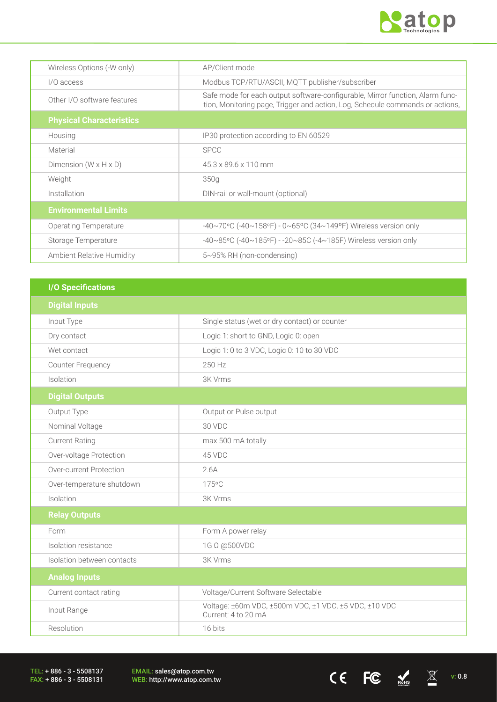

 $CE$  FC  $M_{\text{miss}}$   $\chi$  v: 0.8

| Wireless Options (-W only)        | AP/Client mode                                                                                                                                                 |
|-----------------------------------|----------------------------------------------------------------------------------------------------------------------------------------------------------------|
| I/O access                        | Modbus TCP/RTU/ASCII, MQTT publisher/subscriber                                                                                                                |
| Other I/O software features       | Safe mode for each output software-configurable, Mirror function, Alarm func-<br>tion, Monitoring page, Trigger and action, Log, Schedule commands or actions, |
| <b>Physical Characteristics</b>   |                                                                                                                                                                |
| Housing                           | IP30 protection according to EN 60529                                                                                                                          |
| Material                          | <b>SPCC</b>                                                                                                                                                    |
| Dimension $(W \times H \times D)$ | 45.3 x 89.6 x 110 mm                                                                                                                                           |
| Weight                            | 350g                                                                                                                                                           |
| Installation                      | DIN-rail or wall-mount (optional)                                                                                                                              |
| <b>Environmental Limits</b>       |                                                                                                                                                                |
| Operating Temperature             | -40~70°C (-40~158°F) - 0~65°C (34~149°F) Wireless version only                                                                                                 |
| Storage Temperature               | -40~85°C (-40~185°F) - -20~85C (-4~185F) Wireless version only                                                                                                 |
| Ambient Relative Humidity         | 5~95% RH (non-condensing)                                                                                                                                      |

| <b>I/O Specifications</b>  |                                                                              |
|----------------------------|------------------------------------------------------------------------------|
| <b>Digital Inputs</b>      |                                                                              |
| Input Type                 | Single status (wet or dry contact) or counter                                |
| Dry contact                | Logic 1: short to GND, Logic 0: open                                         |
| Wet contact                | Logic 1: 0 to 3 VDC, Logic 0: 10 to 30 VDC                                   |
| Counter Frequency          | 250 Hz                                                                       |
| Isolation                  | 3K Vrms                                                                      |
| <b>Digital Outputs</b>     |                                                                              |
| Output Type                | Output or Pulse output                                                       |
| Nominal Voltage            | 30 VDC                                                                       |
| <b>Current Rating</b>      | max 500 mA totally                                                           |
| Over-voltage Protection    | 45 VDC                                                                       |
| Over-current Protection    | 2.6A                                                                         |
| Over-temperature shutdown  | 175°C                                                                        |
| Isolation                  | 3K Vrms                                                                      |
| <b>Relay Outputs</b>       |                                                                              |
| Form                       | Form A power relay                                                           |
| Isolation resistance       | 1G Ω @500VDC                                                                 |
| Isolation between contacts | 3K Vrms                                                                      |
| <b>Analog Inputs</b>       |                                                                              |
| Current contact rating     | Voltage/Current Software Selectable                                          |
| Input Range                | Voltage: ±60m VDC, ±500m VDC, ±1 VDC, ±5 VDC, ±10 VDC<br>Current: 4 to 20 mA |
| Resolution                 | 16 bits                                                                      |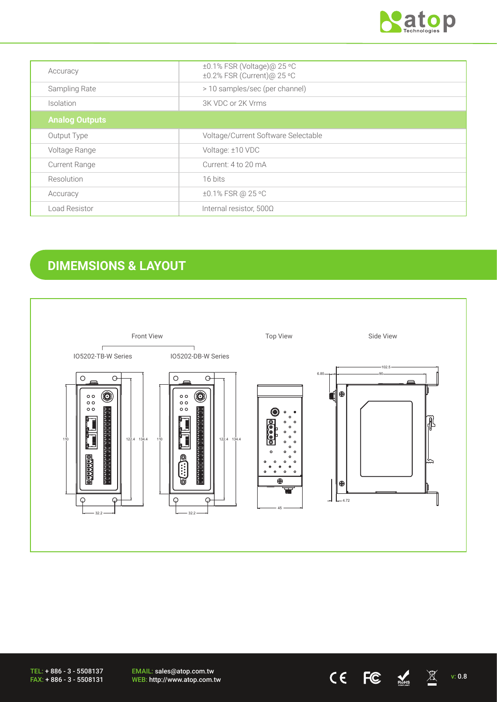

| Accuracy              | ±0.1% FSR (Voltage)@ 25 °C          |
|-----------------------|-------------------------------------|
|                       | ±0.2% FSR (Current)@ 25 °C          |
| Sampling Rate         | > 10 samples/sec (per channel)      |
| Isolation             | 3K VDC or 2K Vrms                   |
| <b>Analog Outputs</b> |                                     |
| Output Type           | Voltage/Current Software Selectable |
| Voltage Range         | Voltage: ±10 VDC                    |
| <b>Current Range</b>  | Current: 4 to 20 mA                 |
| Resolution            | 16 bits                             |
| Accuracy              | ±0.1% FSR @ 25 °C                   |
| Load Resistor         | Internal resistor, 500Ω             |

# **DIMEMSIONS & LAYOUT**



TEL: + 886 - 3 - 5508137 FAX: + 886 - 3 - 5508131

EMAIL: sales@atop.com.tw EMAIL: sales@atop.com.tw<br>WEB: http://www.atop.com.tw  $\text{CE}$   $\text{EC}$   $\text{NC}$   $\text{N}$  v: 0.8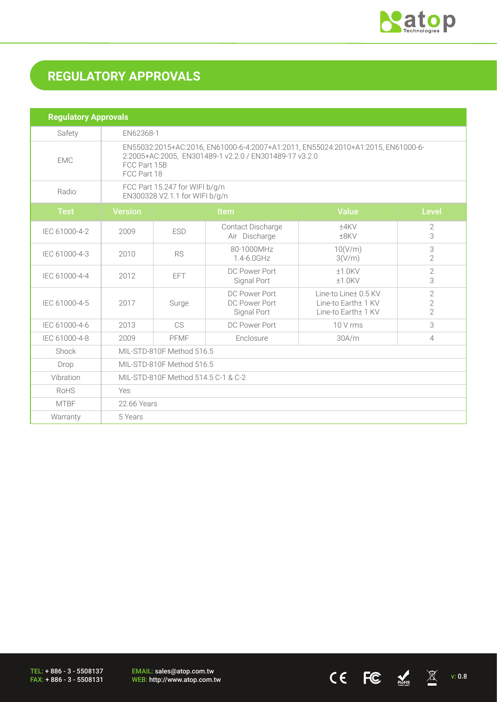

 $CE$  FC  $M_{\text{miss}}$   $\overline{\mathbb{X}}$  v: 0.8

# **REGULATORY APPROVALS**

| <b>Regulatory Approvals</b> |                                                                                                                                                                           |            |                                               |                                                                    |                                                    |  |
|-----------------------------|---------------------------------------------------------------------------------------------------------------------------------------------------------------------------|------------|-----------------------------------------------|--------------------------------------------------------------------|----------------------------------------------------|--|
| Safety                      | EN62368-1                                                                                                                                                                 |            |                                               |                                                                    |                                                    |  |
| <b>EMC</b>                  | EN55032:2015+AC:2016, EN61000-6-4:2007+A1:2011, EN55024:2010+A1:2015, EN61000-6-<br>2:2005+AC:2005, EN301489-1 v2.2.0 / EN301489-17 v3.2.0<br>FCC Part 15B<br>FCC Part 18 |            |                                               |                                                                    |                                                    |  |
| Radio                       | FCC Part 15.247 for WIFI b/g/n<br>EN300328 V2.1.1 for WIFI b/g/n                                                                                                          |            |                                               |                                                                    |                                                    |  |
| <b>Test</b>                 | <b>Version</b>                                                                                                                                                            | Item       |                                               | <b>Value</b>                                                       | <b>Level</b>                                       |  |
| IEC 61000-4-2               | 2009                                                                                                                                                                      | <b>ESD</b> | Contact Discharge<br>Air Discharge            | ±4KV<br>$±8$ KV                                                    | 2<br>3                                             |  |
| IEC 61000-4-3               | 2010                                                                                                                                                                      | <b>RS</b>  | 80-1000MHz<br>$1.4 - 6.0$ GHz                 | 10(V/m)<br>3(V/m)                                                  | 3<br>$\overline{2}$                                |  |
| IEC 61000-4-4               | 2012                                                                                                                                                                      | <b>EFT</b> | DC Power Port<br>Signal Port                  | $±1.0$ KV<br>$±1.0$ KV                                             | $\overline{2}$<br>3                                |  |
| IEC 61000-4-5               | 2017                                                                                                                                                                      | Surge      | DC Power Port<br>DC Power Port<br>Signal Port | Line-to Line+ 0.5 KV<br>Line-to Earth± 1 KV<br>Line-to Earth± 1 KV | $\overline{2}$<br>$\overline{2}$<br>$\overline{2}$ |  |
| IEC 61000-4-6               | 2013                                                                                                                                                                      | <b>CS</b>  | DC Power Port                                 | 10 V rms                                                           | 3                                                  |  |
| IEC 61000-4-8               | 2009                                                                                                                                                                      | PFMF       | Enclosure                                     | 30A/m                                                              | $\overline{4}$                                     |  |
| Shock                       | MIL-STD-810F Method 516.5                                                                                                                                                 |            |                                               |                                                                    |                                                    |  |
| Drop                        | MIL-STD-810F Method 516.5                                                                                                                                                 |            |                                               |                                                                    |                                                    |  |
| Vibration                   | MIL-STD-810F Method 514.5 C-1 & C-2                                                                                                                                       |            |                                               |                                                                    |                                                    |  |
| <b>RoHS</b>                 | Yes                                                                                                                                                                       |            |                                               |                                                                    |                                                    |  |
| <b>MTBF</b>                 | 22.66 Years                                                                                                                                                               |            |                                               |                                                                    |                                                    |  |
| Warranty                    | 5 Years                                                                                                                                                                   |            |                                               |                                                                    |                                                    |  |